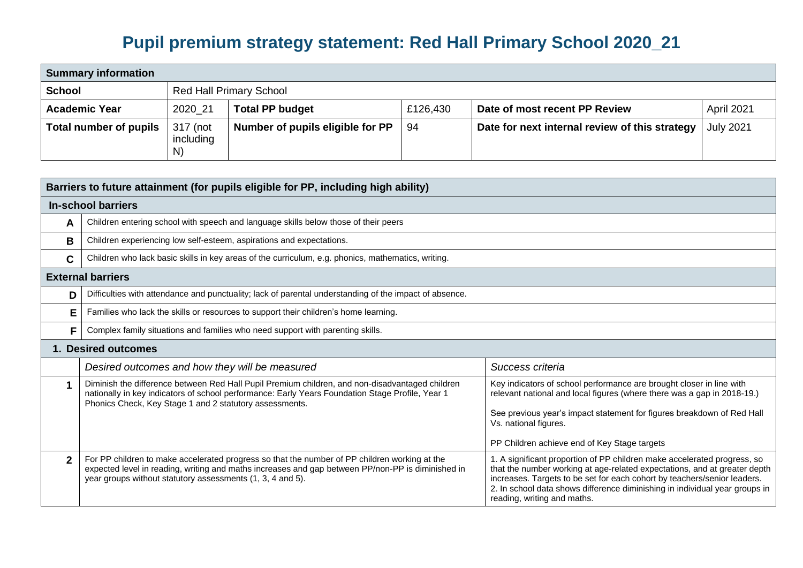## **Pupil premium strategy statement: Red Hall Primary School 2020\_21**

| <b>Summary information</b>    |                                |                                  |          |                                                |                  |  |  |
|-------------------------------|--------------------------------|----------------------------------|----------|------------------------------------------------|------------------|--|--|
| <b>School</b>                 | <b>Red Hall Primary School</b> |                                  |          |                                                |                  |  |  |
| <b>Academic Year</b>          | 2020 21                        | <b>Total PP budget</b>           | £126,430 | Date of most recent PP Review                  | April 2021       |  |  |
| <b>Total number of pupils</b> | 317 (not<br>including<br>N)    | Number of pupils eligible for PP | -94      | Date for next internal review of this strategy | <b>July 2021</b> |  |  |

| Barriers to future attainment (for pupils eligible for PP, including high ability) |                                                                                                                                                                                                                                                                  |                                                                                                                                                                                                                                                                                                                                                 |  |  |
|------------------------------------------------------------------------------------|------------------------------------------------------------------------------------------------------------------------------------------------------------------------------------------------------------------------------------------------------------------|-------------------------------------------------------------------------------------------------------------------------------------------------------------------------------------------------------------------------------------------------------------------------------------------------------------------------------------------------|--|--|
|                                                                                    | <b>In-school barriers</b>                                                                                                                                                                                                                                        |                                                                                                                                                                                                                                                                                                                                                 |  |  |
| A                                                                                  | Children entering school with speech and language skills below those of their peers                                                                                                                                                                              |                                                                                                                                                                                                                                                                                                                                                 |  |  |
| В                                                                                  | Children experiencing low self-esteem, aspirations and expectations.                                                                                                                                                                                             |                                                                                                                                                                                                                                                                                                                                                 |  |  |
| C                                                                                  | Children who lack basic skills in key areas of the curriculum, e.g. phonics, mathematics, writing.                                                                                                                                                               |                                                                                                                                                                                                                                                                                                                                                 |  |  |
|                                                                                    | <b>External barriers</b>                                                                                                                                                                                                                                         |                                                                                                                                                                                                                                                                                                                                                 |  |  |
| D                                                                                  | Difficulties with attendance and punctuality; lack of parental understanding of the impact of absence.                                                                                                                                                           |                                                                                                                                                                                                                                                                                                                                                 |  |  |
| Е                                                                                  | Families who lack the skills or resources to support their children's home learning.                                                                                                                                                                             |                                                                                                                                                                                                                                                                                                                                                 |  |  |
| F                                                                                  | Complex family situations and families who need support with parenting skills.                                                                                                                                                                                   |                                                                                                                                                                                                                                                                                                                                                 |  |  |
|                                                                                    | 1. Desired outcomes                                                                                                                                                                                                                                              |                                                                                                                                                                                                                                                                                                                                                 |  |  |
|                                                                                    | Desired outcomes and how they will be measured                                                                                                                                                                                                                   | Success criteria                                                                                                                                                                                                                                                                                                                                |  |  |
|                                                                                    | Diminish the difference between Red Hall Pupil Premium children, and non-disadvantaged children<br>nationally in key indicators of school performance: Early Years Foundation Stage Profile, Year 1<br>Phonics Check, Key Stage 1 and 2 statutory assessments.   | Key indicators of school performance are brought closer in line with<br>relevant national and local figures (where there was a gap in 2018-19.)<br>See previous year's impact statement for figures breakdown of Red Hall<br>Vs. national figures.<br>PP Children achieve end of Key Stage targets                                              |  |  |
| $\mathbf{2}$                                                                       | For PP children to make accelerated progress so that the number of PP children working at the<br>expected level in reading, writing and maths increases and gap between PP/non-PP is diminished in<br>year groups without statutory assessments (1, 3, 4 and 5). | 1. A significant proportion of PP children make accelerated progress, so<br>that the number working at age-related expectations, and at greater depth<br>increases. Targets to be set for each cohort by teachers/senior leaders.<br>2. In school data shows difference diminishing in individual year groups in<br>reading, writing and maths. |  |  |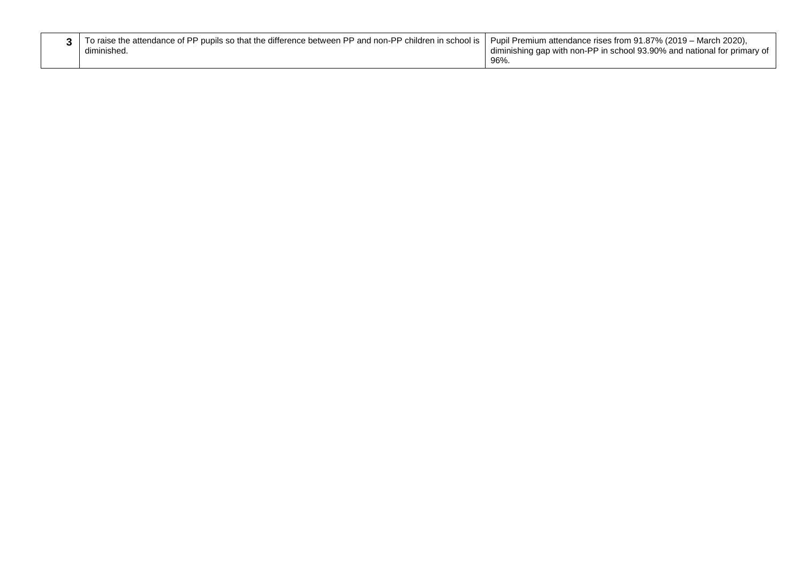| To raise the attendance of PP pupils so that the difference between PP and non-PP children in school is   Pupil Premium attendance rises from 91.87% (2019 – March 2020),<br>diminished | diminishing gap with non-PP in school 93.90% and national for primary of |
|-----------------------------------------------------------------------------------------------------------------------------------------------------------------------------------------|--------------------------------------------------------------------------|
|                                                                                                                                                                                         | 96%.                                                                     |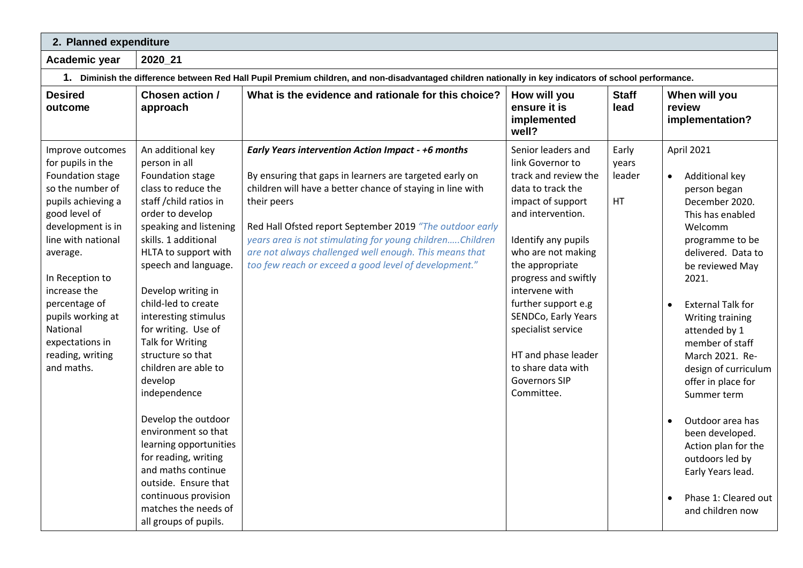**2. Planned expenditure** 

**Academic year 2020\_21**

**1. Diminish the difference between Red Hall Pupil Premium children, and non-disadvantaged children nationally in key indicators of school performance.**

| <b>Desired</b><br>outcome                                                                                                                                                                                                                                                                                             | Chosen action /<br>approach                                                                                                                                                                                                                                                                                                                                                                                                                                                                                                                                                                                                                   | What is the evidence and rationale for this choice?                                                                                                                                                                                                                                                                                                                                                                                   | How will you<br>ensure it is<br>implemented<br>well?                                                                                                                                                                                                                                                                                                                                           | <b>Staff</b><br>lead           | When will you<br>review<br>implementation?                                                                                                                                                                                                                                                                                                                                                                                                                                                            |
|-----------------------------------------------------------------------------------------------------------------------------------------------------------------------------------------------------------------------------------------------------------------------------------------------------------------------|-----------------------------------------------------------------------------------------------------------------------------------------------------------------------------------------------------------------------------------------------------------------------------------------------------------------------------------------------------------------------------------------------------------------------------------------------------------------------------------------------------------------------------------------------------------------------------------------------------------------------------------------------|---------------------------------------------------------------------------------------------------------------------------------------------------------------------------------------------------------------------------------------------------------------------------------------------------------------------------------------------------------------------------------------------------------------------------------------|------------------------------------------------------------------------------------------------------------------------------------------------------------------------------------------------------------------------------------------------------------------------------------------------------------------------------------------------------------------------------------------------|--------------------------------|-------------------------------------------------------------------------------------------------------------------------------------------------------------------------------------------------------------------------------------------------------------------------------------------------------------------------------------------------------------------------------------------------------------------------------------------------------------------------------------------------------|
| Improve outcomes<br>for pupils in the<br>Foundation stage<br>so the number of<br>pupils achieving a<br>good level of<br>development is in<br>line with national<br>average.<br>In Reception to<br>increase the<br>percentage of<br>pupils working at<br>National<br>expectations in<br>reading, writing<br>and maths. | An additional key<br>person in all<br>Foundation stage<br>class to reduce the<br>staff / child ratios in<br>order to develop<br>speaking and listening<br>skills. 1 additional<br>HLTA to support with<br>speech and language.<br>Develop writing in<br>child-led to create<br>interesting stimulus<br>for writing. Use of<br>Talk for Writing<br>structure so that<br>children are able to<br>develop<br>independence<br>Develop the outdoor<br>environment so that<br>learning opportunities<br>for reading, writing<br>and maths continue<br>outside. Ensure that<br>continuous provision<br>matches the needs of<br>all groups of pupils. | Early Years intervention Action Impact - +6 months<br>By ensuring that gaps in learners are targeted early on<br>children will have a better chance of staying in line with<br>their peers<br>Red Hall Ofsted report September 2019 "The outdoor early<br>years area is not stimulating for young childrenChildren<br>are not always challenged well enough. This means that<br>too few reach or exceed a good level of development." | Senior leaders and<br>link Governor to<br>track and review the<br>data to track the<br>impact of support<br>and intervention.<br>Identify any pupils<br>who are not making<br>the appropriate<br>progress and swiftly<br>intervene with<br>further support e.g<br>SENDCo, Early Years<br>specialist service<br>HT and phase leader<br>to share data with<br><b>Governors SIP</b><br>Committee. | Early<br>years<br>leader<br>HT | April 2021<br>Additional key<br>$\bullet$<br>person began<br>December 2020.<br>This has enabled<br>Welcomm<br>programme to be<br>delivered. Data to<br>be reviewed May<br>2021.<br><b>External Talk for</b><br>Writing training<br>attended by 1<br>member of staff<br>March 2021. Re-<br>design of curriculum<br>offer in place for<br>Summer term<br>Outdoor area has<br>been developed.<br>Action plan for the<br>outdoors led by<br>Early Years lead.<br>Phase 1: Cleared out<br>and children now |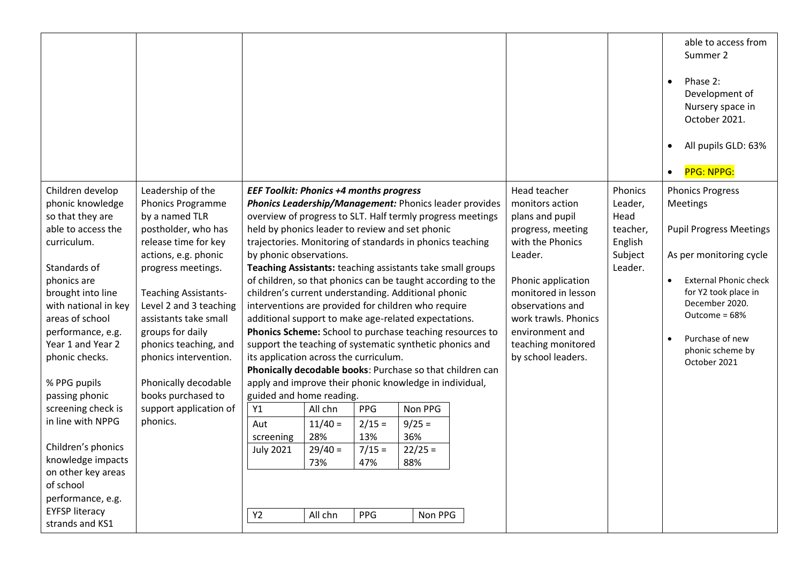|                                                                                                                                                                                                                                                                                                                                                                                                                                                                                      |                                                                                                                                                                                                                                                                                                                                                                                                          |                                                                                                                                                                                                                                                                                                                                                                                                                                                                                                                                                                                                                                                                                                                                                                                                                                                                                                                                                                                                                                                                                                                                                                                                    |                                                                                                                                                                                                                                                                |                                                                         | able to access from<br>Summer 2<br>Phase 2:<br>$\bullet$<br>Development of<br>Nursery space in<br>October 2021.<br>All pupils GLD: 63%<br>$\bullet$<br>PPG: NPPG:<br>$\bullet$                                                                                  |
|--------------------------------------------------------------------------------------------------------------------------------------------------------------------------------------------------------------------------------------------------------------------------------------------------------------------------------------------------------------------------------------------------------------------------------------------------------------------------------------|----------------------------------------------------------------------------------------------------------------------------------------------------------------------------------------------------------------------------------------------------------------------------------------------------------------------------------------------------------------------------------------------------------|----------------------------------------------------------------------------------------------------------------------------------------------------------------------------------------------------------------------------------------------------------------------------------------------------------------------------------------------------------------------------------------------------------------------------------------------------------------------------------------------------------------------------------------------------------------------------------------------------------------------------------------------------------------------------------------------------------------------------------------------------------------------------------------------------------------------------------------------------------------------------------------------------------------------------------------------------------------------------------------------------------------------------------------------------------------------------------------------------------------------------------------------------------------------------------------------------|----------------------------------------------------------------------------------------------------------------------------------------------------------------------------------------------------------------------------------------------------------------|-------------------------------------------------------------------------|-----------------------------------------------------------------------------------------------------------------------------------------------------------------------------------------------------------------------------------------------------------------|
| Children develop<br>phonic knowledge<br>so that they are<br>able to access the<br>curriculum.<br>Standards of<br>phonics are<br>brought into line<br>with national in key<br>areas of school<br>performance, e.g.<br>Year 1 and Year 2<br>phonic checks.<br>% PPG pupils<br>passing phonic<br>screening check is<br>in line with NPPG<br>Children's phonics<br>knowledge impacts<br>on other key areas<br>of school<br>performance, e.g.<br><b>EYFSP literacy</b><br>strands and KS1 | Leadership of the<br><b>Phonics Programme</b><br>by a named TLR<br>postholder, who has<br>release time for key<br>actions, e.g. phonic<br>progress meetings.<br><b>Teaching Assistants-</b><br>Level 2 and 3 teaching<br>assistants take small<br>groups for daily<br>phonics teaching, and<br>phonics intervention.<br>Phonically decodable<br>books purchased to<br>support application of<br>phonics. | <b>EEF Toolkit: Phonics +4 months progress</b><br><b>Phonics Leadership/Management: Phonics leader provides</b><br>overview of progress to SLT. Half termly progress meetings<br>held by phonics leader to review and set phonic<br>trajectories. Monitoring of standards in phonics teaching<br>by phonic observations.<br>Teaching Assistants: teaching assistants take small groups<br>of children, so that phonics can be taught according to the<br>children's current understanding. Additional phonic<br>interventions are provided for children who require<br>additional support to make age-related expectations.<br>Phonics Scheme: School to purchase teaching resources to<br>support the teaching of systematic synthetic phonics and<br>its application across the curriculum.<br>Phonically decodable books: Purchase so that children can<br>apply and improve their phonic knowledge in individual,<br>guided and home reading.<br>Non PPG<br>Y1<br><b>PPG</b><br>All chn<br>$2/15 =$<br>$11/40 =$<br>$9/25 =$<br>Aut<br>28%<br>13%<br>36%<br>screening<br>$7/15 =$<br>$22/25 =$<br><b>July 2021</b><br>$29/40 =$<br>73%<br>47%<br>88%<br><b>PPG</b><br>Y2<br>All chn<br>Non PPG | Head teacher<br>monitors action<br>plans and pupil<br>progress, meeting<br>with the Phonics<br>Leader.<br>Phonic application<br>monitored in lesson<br>observations and<br>work trawls. Phonics<br>environment and<br>teaching monitored<br>by school leaders. | Phonics<br>Leader,<br>Head<br>teacher,<br>English<br>Subject<br>Leader. | <b>Phonics Progress</b><br>Meetings<br><b>Pupil Progress Meetings</b><br>As per monitoring cycle<br><b>External Phonic check</b><br>$\bullet$<br>for Y2 took place in<br>December 2020.<br>Outcome = 68%<br>Purchase of new<br>phonic scheme by<br>October 2021 |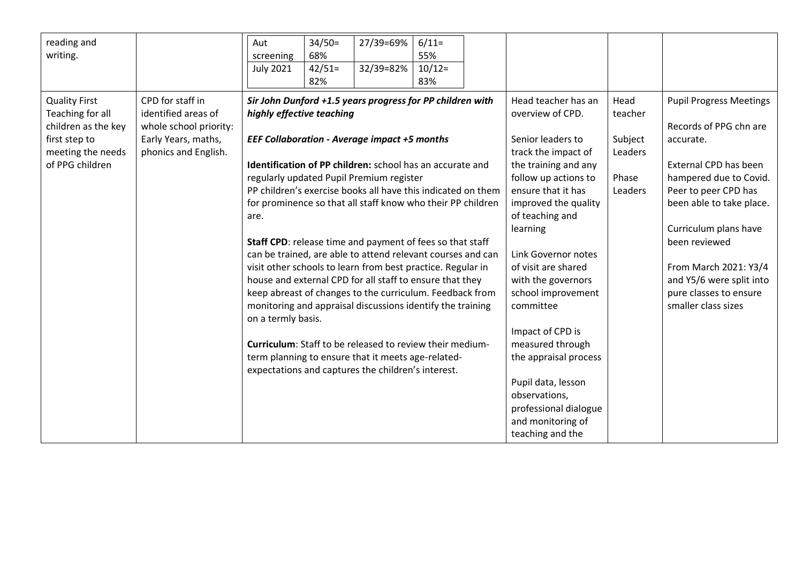| reading and<br>writing.                                                                                                                                                                                                                      | $34/50=$<br>27/39=69%<br>$6/11=$<br>Aut<br>55%<br>68%<br>screening<br>32/39=82%<br>$10/12=$<br><b>July 2021</b><br>$42/51=$<br>82%<br>83%                                                                                                                                                                                                                                                                                                                                                                                                                                                                                                                                                                                                                                                                                                                                                                                                                                           |                                                                                                                                                                                                                                                                                                                                                                                                                                                                                                   |                                                                                                                                                                                                                                                                                                                                                                                           |
|----------------------------------------------------------------------------------------------------------------------------------------------------------------------------------------------------------------------------------------------|-------------------------------------------------------------------------------------------------------------------------------------------------------------------------------------------------------------------------------------------------------------------------------------------------------------------------------------------------------------------------------------------------------------------------------------------------------------------------------------------------------------------------------------------------------------------------------------------------------------------------------------------------------------------------------------------------------------------------------------------------------------------------------------------------------------------------------------------------------------------------------------------------------------------------------------------------------------------------------------|---------------------------------------------------------------------------------------------------------------------------------------------------------------------------------------------------------------------------------------------------------------------------------------------------------------------------------------------------------------------------------------------------------------------------------------------------------------------------------------------------|-------------------------------------------------------------------------------------------------------------------------------------------------------------------------------------------------------------------------------------------------------------------------------------------------------------------------------------------------------------------------------------------|
| CPD for staff in<br><b>Quality First</b><br>identified areas of<br>Teaching for all<br>children as the key<br>whole school priority:<br>Early Years, maths,<br>first step to<br>meeting the needs<br>phonics and English.<br>of PPG children | Sir John Dunford +1.5 years progress for PP children with<br>highly effective teaching<br><b>EEF Collaboration - Average impact +5 months</b><br>Identification of PP children: school has an accurate and<br>regularly updated Pupil Premium register<br>PP children's exercise books all have this indicated on them<br>for prominence so that all staff know who their PP children<br>are.<br>Staff CPD: release time and payment of fees so that staff<br>can be trained, are able to attend relevant courses and can<br>visit other schools to learn from best practice. Regular in<br>house and external CPD for all staff to ensure that they<br>keep abreast of changes to the curriculum. Feedback from<br>monitoring and appraisal discussions identify the training<br>on a termly basis.<br><b>Curriculum:</b> Staff to be released to review their medium-<br>term planning to ensure that it meets age-related-<br>expectations and captures the children's interest. | Head teacher has an<br>overview of CPD.<br>Senior leaders to<br>track the impact of<br>the training and any<br>follow up actions to<br>ensure that it has<br>improved the quality<br>of teaching and<br>learning<br>Link Governor notes<br>of visit are shared<br>with the governors<br>school improvement<br>committee<br>Impact of CPD is<br>measured through<br>the appraisal process<br>Pupil data, lesson<br>observations,<br>professional dialogue<br>and monitoring of<br>teaching and the | Head<br><b>Pupil Progress Meetings</b><br>teacher<br>Records of PPG chn are<br>Subject<br>accurate.<br>Leaders<br>External CPD has been<br>Phase<br>hampered due to Covid.<br>Leaders<br>Peer to peer CPD has<br>been able to take place.<br>Curriculum plans have<br>been reviewed<br>From March 2021: Y3/4<br>and Y5/6 were split into<br>pure classes to ensure<br>smaller class sizes |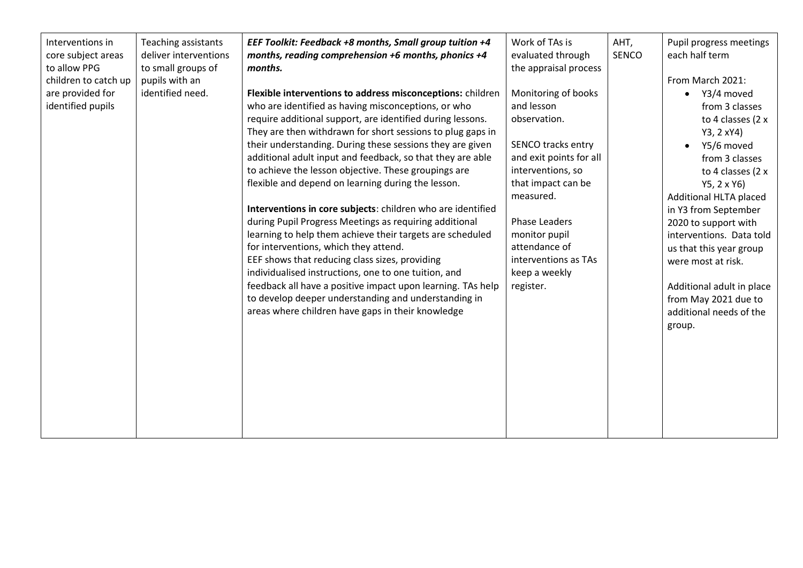| Interventions in<br>core subject areas<br>to allow PPG<br>children to catch up<br>are provided for<br>identified pupils | Teaching assistants<br>deliver interventions<br>to small groups of<br>pupils with an<br>identified need. | EEF Toolkit: Feedback +8 months, Small group tuition +4<br>months, reading comprehension +6 months, phonics +4<br>months.<br>Flexible interventions to address misconceptions: children<br>who are identified as having misconceptions, or who<br>require additional support, are identified during lessons.<br>They are then withdrawn for short sessions to plug gaps in<br>their understanding. During these sessions they are given<br>additional adult input and feedback, so that they are able<br>to achieve the lesson objective. These groupings are<br>flexible and depend on learning during the lesson.<br>Interventions in core subjects: children who are identified<br>during Pupil Progress Meetings as requiring additional<br>learning to help them achieve their targets are scheduled<br>for interventions, which they attend.<br>EEF shows that reducing class sizes, providing<br>individualised instructions, one to one tuition, and<br>feedback all have a positive impact upon learning. TAs help<br>to develop deeper understanding and understanding in<br>areas where children have gaps in their knowledge | Work of TAs is<br>evaluated through<br>the appraisal process<br>Monitoring of books<br>and lesson<br>observation.<br>SENCO tracks entry<br>and exit points for all<br>interventions, so<br>that impact can be<br>measured.<br>Phase Leaders<br>monitor pupil<br>attendance of<br>interventions as TAs<br>keep a weekly<br>register. | AHT,<br><b>SENCO</b> | Pupil progress meetings<br>each half term<br>From March 2021:<br>Y3/4 moved<br>$\bullet$<br>from 3 classes<br>to 4 classes (2 x<br>Y3, 2 xY4)<br>Y5/6 moved<br>from 3 classes<br>to 4 classes (2 x<br>$Y5, 2 \times Y6$<br>Additional HLTA placed<br>in Y3 from September<br>2020 to support with<br>interventions. Data told<br>us that this year group<br>were most at risk.<br>Additional adult in place<br>from May 2021 due to<br>additional needs of the<br>group. |
|-------------------------------------------------------------------------------------------------------------------------|----------------------------------------------------------------------------------------------------------|------------------------------------------------------------------------------------------------------------------------------------------------------------------------------------------------------------------------------------------------------------------------------------------------------------------------------------------------------------------------------------------------------------------------------------------------------------------------------------------------------------------------------------------------------------------------------------------------------------------------------------------------------------------------------------------------------------------------------------------------------------------------------------------------------------------------------------------------------------------------------------------------------------------------------------------------------------------------------------------------------------------------------------------------------------------------------------------------------------------------------------------|-------------------------------------------------------------------------------------------------------------------------------------------------------------------------------------------------------------------------------------------------------------------------------------------------------------------------------------|----------------------|--------------------------------------------------------------------------------------------------------------------------------------------------------------------------------------------------------------------------------------------------------------------------------------------------------------------------------------------------------------------------------------------------------------------------------------------------------------------------|
|-------------------------------------------------------------------------------------------------------------------------|----------------------------------------------------------------------------------------------------------|------------------------------------------------------------------------------------------------------------------------------------------------------------------------------------------------------------------------------------------------------------------------------------------------------------------------------------------------------------------------------------------------------------------------------------------------------------------------------------------------------------------------------------------------------------------------------------------------------------------------------------------------------------------------------------------------------------------------------------------------------------------------------------------------------------------------------------------------------------------------------------------------------------------------------------------------------------------------------------------------------------------------------------------------------------------------------------------------------------------------------------------|-------------------------------------------------------------------------------------------------------------------------------------------------------------------------------------------------------------------------------------------------------------------------------------------------------------------------------------|----------------------|--------------------------------------------------------------------------------------------------------------------------------------------------------------------------------------------------------------------------------------------------------------------------------------------------------------------------------------------------------------------------------------------------------------------------------------------------------------------------|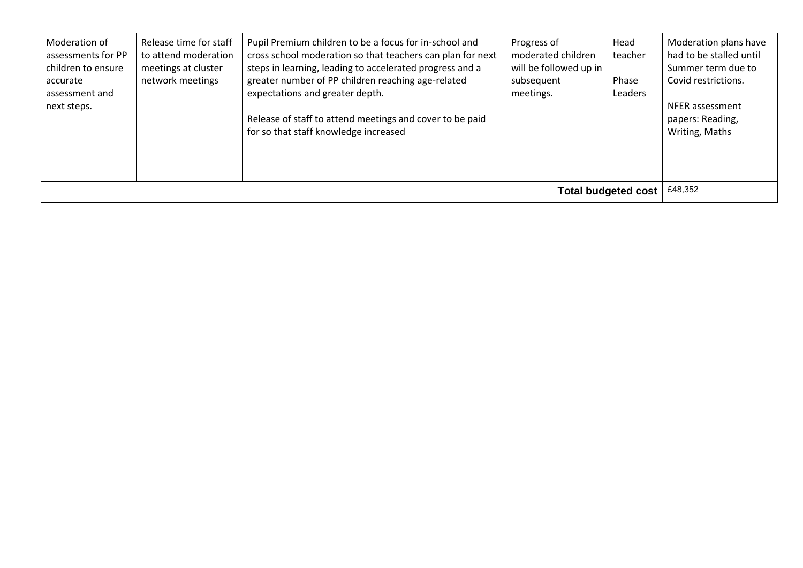| Moderation of<br>assessments for PP<br>children to ensure<br>accurate<br>assessment and<br>next steps. | Release time for staff<br>to attend moderation<br>meetings at cluster<br>network meetings | Pupil Premium children to be a focus for in-school and<br>cross school moderation so that teachers can plan for next<br>steps in learning, leading to accelerated progress and a<br>greater number of PP children reaching age-related<br>expectations and greater depth.<br>Release of staff to attend meetings and cover to be paid<br>for so that staff knowledge increased | Progress of<br>moderated children<br>will be followed up in<br>subsequent<br>meetings. | Head<br>teacher<br>Phase<br>Leaders | Moderation plans have<br>had to be stalled until<br>Summer term due to<br>Covid restrictions.<br>NFER assessment<br>papers: Reading,<br>Writing, Maths |
|--------------------------------------------------------------------------------------------------------|-------------------------------------------------------------------------------------------|--------------------------------------------------------------------------------------------------------------------------------------------------------------------------------------------------------------------------------------------------------------------------------------------------------------------------------------------------------------------------------|----------------------------------------------------------------------------------------|-------------------------------------|--------------------------------------------------------------------------------------------------------------------------------------------------------|
|                                                                                                        | £48.352                                                                                   |                                                                                                                                                                                                                                                                                                                                                                                |                                                                                        |                                     |                                                                                                                                                        |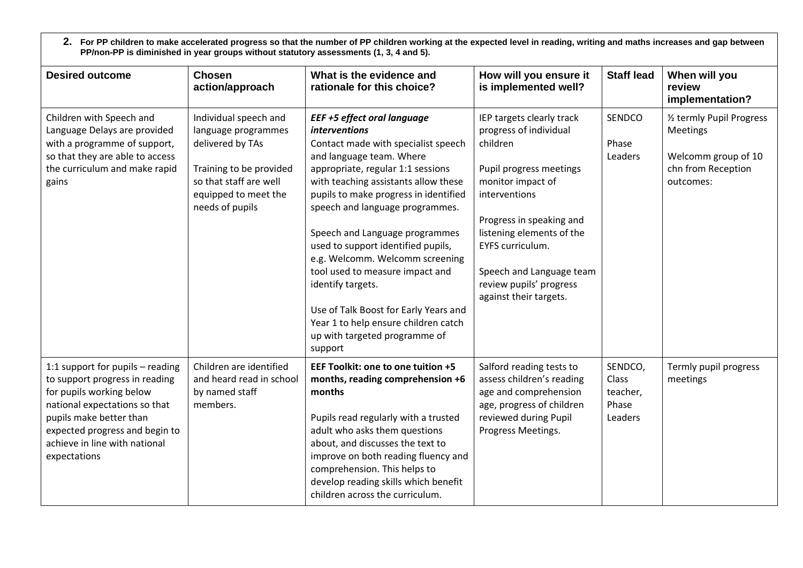**2. For PP children to make accelerated progress so that the number of PP children working at the expected level in reading, writing and maths increases and gap between PP/non-PP is diminished in year groups without statutory assessments (1, 3, 4 and 5).**

| <b>Desired outcome</b>                                                                                                                                                                                                                        | <b>Chosen</b><br>action/approach                                                                                                                                 | What is the evidence and<br>rationale for this choice?                                                                                                                                                                                                                                                                                                                                                                                                                                                                                                                                 | How will you ensure it<br>is implemented well?                                                                                                                                                                                                                                                 | <b>Staff lead</b>                                | When will you<br>review<br>implementation?                                                             |
|-----------------------------------------------------------------------------------------------------------------------------------------------------------------------------------------------------------------------------------------------|------------------------------------------------------------------------------------------------------------------------------------------------------------------|----------------------------------------------------------------------------------------------------------------------------------------------------------------------------------------------------------------------------------------------------------------------------------------------------------------------------------------------------------------------------------------------------------------------------------------------------------------------------------------------------------------------------------------------------------------------------------------|------------------------------------------------------------------------------------------------------------------------------------------------------------------------------------------------------------------------------------------------------------------------------------------------|--------------------------------------------------|--------------------------------------------------------------------------------------------------------|
| Children with Speech and<br>Language Delays are provided<br>with a programme of support,<br>so that they are able to access<br>the curriculum and make rapid<br>gains                                                                         | Individual speech and<br>language programmes<br>delivered by TAs<br>Training to be provided<br>so that staff are well<br>equipped to meet the<br>needs of pupils | <b>EEF +5 effect oral language</b><br><i>interventions</i><br>Contact made with specialist speech<br>and language team. Where<br>appropriate, regular 1:1 sessions<br>with teaching assistants allow these<br>pupils to make progress in identified<br>speech and language programmes.<br>Speech and Language programmes<br>used to support identified pupils,<br>e.g. Welcomm. Welcomm screening<br>tool used to measure impact and<br>identify targets.<br>Use of Talk Boost for Early Years and<br>Year 1 to help ensure children catch<br>up with targeted programme of<br>support | IEP targets clearly track<br>progress of individual<br>children<br>Pupil progress meetings<br>monitor impact of<br>interventions<br>Progress in speaking and<br>listening elements of the<br>EYFS curriculum.<br>Speech and Language team<br>review pupils' progress<br>against their targets. | SENDCO<br>Phase<br>Leaders                       | 1/2 termly Pupil Progress<br><b>Meetings</b><br>Welcomm group of 10<br>chn from Reception<br>outcomes: |
| 1:1 support for pupils - reading<br>to support progress in reading<br>for pupils working below<br>national expectations so that<br>pupils make better than<br>expected progress and begin to<br>achieve in line with national<br>expectations | Children are identified<br>and heard read in school<br>by named staff<br>members.                                                                                | EEF Toolkit: one to one tuition +5<br>months, reading comprehension +6<br>months<br>Pupils read regularly with a trusted<br>adult who asks them questions<br>about, and discusses the text to<br>improve on both reading fluency and<br>comprehension. This helps to<br>develop reading skills which benefit<br>children across the curriculum.                                                                                                                                                                                                                                        | Salford reading tests to<br>assess children's reading<br>age and comprehension<br>age, progress of children<br>reviewed during Pupil<br>Progress Meetings.                                                                                                                                     | SENDCO,<br>Class<br>teacher,<br>Phase<br>Leaders | Termly pupil progress<br>meetings                                                                      |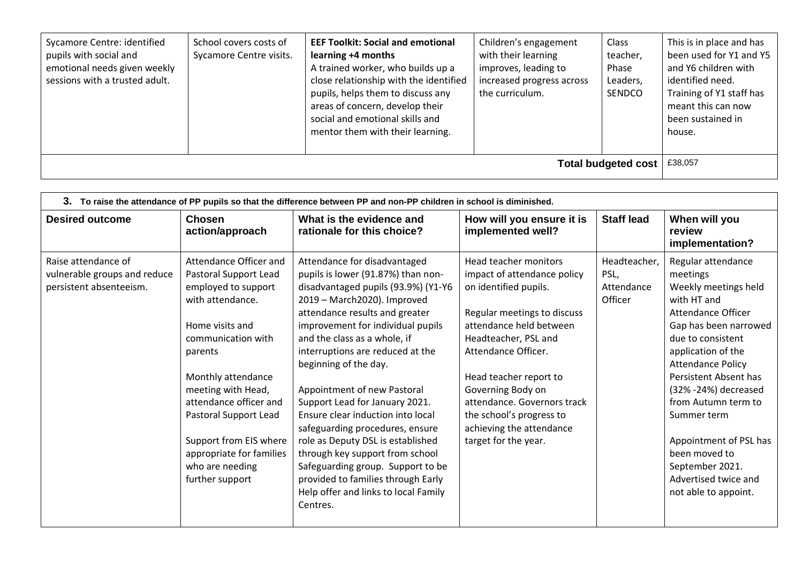| Sycamore Centre: identified<br>pupils with social and<br>emotional needs given weekly<br>sessions with a trusted adult. | School covers costs of<br>Sycamore Centre visits. | <b>EEF Toolkit: Social and emotional</b><br>learning +4 months<br>A trained worker, who builds up a<br>close relationship with the identified<br>pupils, helps them to discuss any<br>areas of concern, develop their<br>social and emotional skills and<br>mentor them with their learning. | Children's engagement<br>with their learning<br>improves, leading to<br>increased progress across<br>the curriculum. | Class<br>teacher,<br>Phase<br>Leaders,<br>SENDCO | This is in place and has<br>been used for Y1 and Y5<br>and Y6 children with<br>identified need.<br>Training of Y1 staff has<br>meant this can now<br>been sustained in<br>house. |
|-------------------------------------------------------------------------------------------------------------------------|---------------------------------------------------|----------------------------------------------------------------------------------------------------------------------------------------------------------------------------------------------------------------------------------------------------------------------------------------------|----------------------------------------------------------------------------------------------------------------------|--------------------------------------------------|----------------------------------------------------------------------------------------------------------------------------------------------------------------------------------|
|                                                                                                                         | £38,057<br>Total budgeted cost                    |                                                                                                                                                                                                                                                                                              |                                                                                                                      |                                                  |                                                                                                                                                                                  |

| 3. To raise the attendance of PP pupils so that the difference between PP and non-PP children in school is diminished. |                                                                                                                                                                                                                                                                                                                                           |                                                                                                                                                                                                                                                                                                                                                                                                                                                                                                                                                                                                                                                              |                                                                                                                                                                                                                                                                                                                                                      |                                               |                                                                                                                                                                                                                                                                                                                                                                                                   |
|------------------------------------------------------------------------------------------------------------------------|-------------------------------------------------------------------------------------------------------------------------------------------------------------------------------------------------------------------------------------------------------------------------------------------------------------------------------------------|--------------------------------------------------------------------------------------------------------------------------------------------------------------------------------------------------------------------------------------------------------------------------------------------------------------------------------------------------------------------------------------------------------------------------------------------------------------------------------------------------------------------------------------------------------------------------------------------------------------------------------------------------------------|------------------------------------------------------------------------------------------------------------------------------------------------------------------------------------------------------------------------------------------------------------------------------------------------------------------------------------------------------|-----------------------------------------------|---------------------------------------------------------------------------------------------------------------------------------------------------------------------------------------------------------------------------------------------------------------------------------------------------------------------------------------------------------------------------------------------------|
| <b>Desired outcome</b>                                                                                                 | <b>Chosen</b><br>action/approach                                                                                                                                                                                                                                                                                                          | What is the evidence and<br>rationale for this choice?                                                                                                                                                                                                                                                                                                                                                                                                                                                                                                                                                                                                       | How will you ensure it is<br>implemented well?                                                                                                                                                                                                                                                                                                       | <b>Staff lead</b>                             | When will you<br>review<br>implementation?                                                                                                                                                                                                                                                                                                                                                        |
| Raise attendance of<br>vulnerable groups and reduce<br>persistent absenteeism.                                         | Attendance Officer and<br>Pastoral Support Lead<br>employed to support<br>with attendance.<br>Home visits and<br>communication with<br>parents<br>Monthly attendance<br>meeting with Head,<br>attendance officer and<br>Pastoral Support Lead<br>Support from EIS where<br>appropriate for families<br>who are needing<br>further support | Attendance for disadvantaged<br>pupils is lower (91.87%) than non-<br>disadvantaged pupils (93.9%) (Y1-Y6<br>2019 - March2020). Improved<br>attendance results and greater<br>improvement for individual pupils<br>and the class as a whole, if<br>interruptions are reduced at the<br>beginning of the day.<br>Appointment of new Pastoral<br>Support Lead for January 2021.<br>Ensure clear induction into local<br>safeguarding procedures, ensure<br>role as Deputy DSL is established<br>through key support from school<br>Safeguarding group. Support to be<br>provided to families through Early<br>Help offer and links to local Family<br>Centres. | Head teacher monitors<br>impact of attendance policy<br>on identified pupils.<br>Regular meetings to discuss<br>attendance held between<br>Headteacher, PSL and<br>Attendance Officer.<br>Head teacher report to<br>Governing Body on<br>attendance. Governors track<br>the school's progress to<br>achieving the attendance<br>target for the year. | Headteacher,<br>PSL,<br>Attendance<br>Officer | Regular attendance<br>meetings<br>Weekly meetings held<br>with HT and<br>Attendance Officer<br>Gap has been narrowed<br>due to consistent<br>application of the<br><b>Attendance Policy</b><br>Persistent Absent has<br>(32% - 24%) decreased<br>from Autumn term to<br>Summer term<br>Appointment of PSL has<br>been moved to<br>September 2021.<br>Advertised twice and<br>not able to appoint. |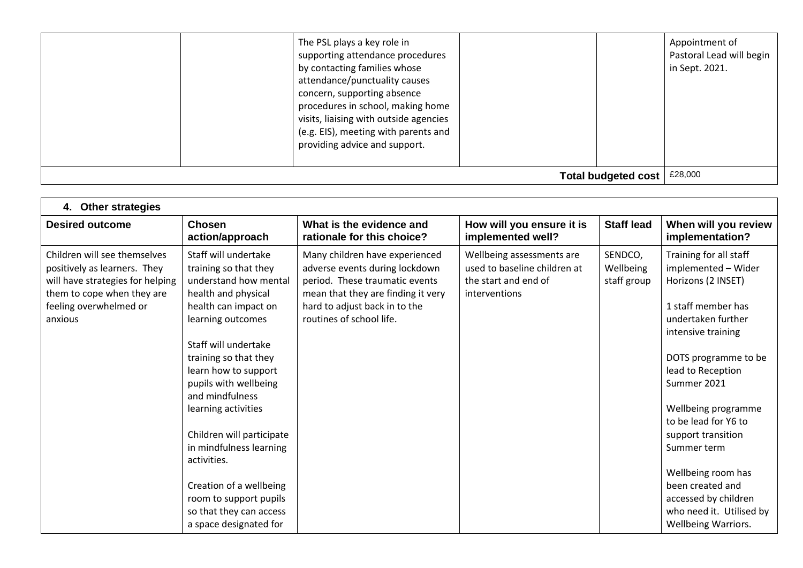|                            | The PSL plays a key role in<br>supporting attendance procedures<br>by contacting families whose<br>attendance/punctuality causes<br>concern, supporting absence<br>procedures in school, making home<br>visits, liaising with outside agencies<br>(e.g. EIS), meeting with parents and<br>providing advice and support. |  | Appointment of<br>Pastoral Lead will begin<br>in Sept. 2021. |
|----------------------------|-------------------------------------------------------------------------------------------------------------------------------------------------------------------------------------------------------------------------------------------------------------------------------------------------------------------------|--|--------------------------------------------------------------|
| <b>Total budgeted cost</b> |                                                                                                                                                                                                                                                                                                                         |  | £28,000                                                      |

| <b>Other strategies</b><br>4.                                                                                                                                       |                                                                                                                                                                                                                                                                                                                                                                                                                                                                         |                                                                                                                                                                                                       |                                                                                                    |                                     |                                                                                                                                                                                                                                                                                                                                                                                                            |  |  |
|---------------------------------------------------------------------------------------------------------------------------------------------------------------------|-------------------------------------------------------------------------------------------------------------------------------------------------------------------------------------------------------------------------------------------------------------------------------------------------------------------------------------------------------------------------------------------------------------------------------------------------------------------------|-------------------------------------------------------------------------------------------------------------------------------------------------------------------------------------------------------|----------------------------------------------------------------------------------------------------|-------------------------------------|------------------------------------------------------------------------------------------------------------------------------------------------------------------------------------------------------------------------------------------------------------------------------------------------------------------------------------------------------------------------------------------------------------|--|--|
| <b>Desired outcome</b>                                                                                                                                              | <b>Chosen</b><br>action/approach                                                                                                                                                                                                                                                                                                                                                                                                                                        | What is the evidence and<br>rationale for this choice?                                                                                                                                                | How will you ensure it is<br>implemented well?                                                     | <b>Staff lead</b>                   | When will you review<br>implementation?                                                                                                                                                                                                                                                                                                                                                                    |  |  |
| Children will see themselves<br>positively as learners. They<br>will have strategies for helping<br>them to cope when they are<br>feeling overwhelmed or<br>anxious | Staff will undertake<br>training so that they<br>understand how mental<br>health and physical<br>health can impact on<br>learning outcomes<br>Staff will undertake<br>training so that they<br>learn how to support<br>pupils with wellbeing<br>and mindfulness<br>learning activities<br>Children will participate<br>in mindfulness learning<br>activities.<br>Creation of a wellbeing<br>room to support pupils<br>so that they can access<br>a space designated for | Many children have experienced<br>adverse events during lockdown<br>period. These traumatic events<br>mean that they are finding it very<br>hard to adjust back in to the<br>routines of school life. | Wellbeing assessments are<br>used to baseline children at<br>the start and end of<br>interventions | SENDCO,<br>Wellbeing<br>staff group | Training for all staff<br>implemented - Wider<br>Horizons (2 INSET)<br>1 staff member has<br>undertaken further<br>intensive training<br>DOTS programme to be<br>lead to Reception<br>Summer 2021<br>Wellbeing programme<br>to be lead for Y6 to<br>support transition<br>Summer term<br>Wellbeing room has<br>been created and<br>accessed by children<br>who need it. Utilised by<br>Wellbeing Warriors. |  |  |